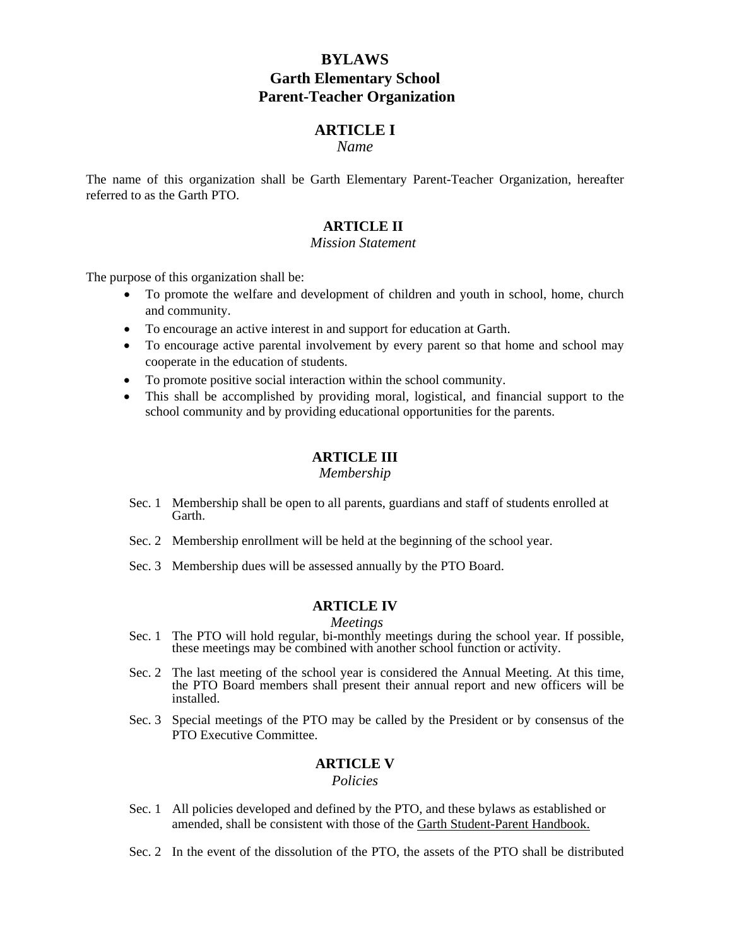# **BYLAWS Garth Elementary School Parent-Teacher Organization**

## **ARTICLE I**

*Name* 

The name of this organization shall be Garth Elementary Parent-Teacher Organization, hereafter referred to as the Garth PTO.

# **ARTICLE II**

#### *Mission Statement*

The purpose of this organization shall be:

- To promote the welfare and development of children and youth in school, home, church and community.
- To encourage an active interest in and support for education at Garth.
- To encourage active parental involvement by every parent so that home and school may cooperate in the education of students.
- To promote positive social interaction within the school community.
- This shall be accomplished by providing moral, logistical, and financial support to the school community and by providing educational opportunities for the parents.

### **ARTICLE III**

#### *Membership*

- Sec. 1 Membership shall be open to all parents, guardians and staff of students enrolled at Garth.
- Sec. 2 Membership enrollment will be held at the beginning of the school year.
- Sec. 3 Membership dues will be assessed annually by the PTO Board.

#### **ARTICLE IV**

#### *Meetings*

- Sec. 1 The PTO will hold regular, bi-monthly meetings during the school year. If possible, these meetings may be combined with another school function or activity.
- Sec. 2 The last meeting of the school year is considered the Annual Meeting. At this time, the PTO Board members shall present their annual report and new officers will be installed.
- Sec. 3 Special meetings of the PTO may be called by the President or by consensus of the PTO Executive Committee.

### **ARTICLE V**

# *Policies*

- Sec. 1 All policies developed and defined by the PTO, and these bylaws as established or amended, shall be consistent with those of the Garth Student-Parent Handbook.
- Sec. 2 In the event of the dissolution of the PTO, the assets of the PTO shall be distributed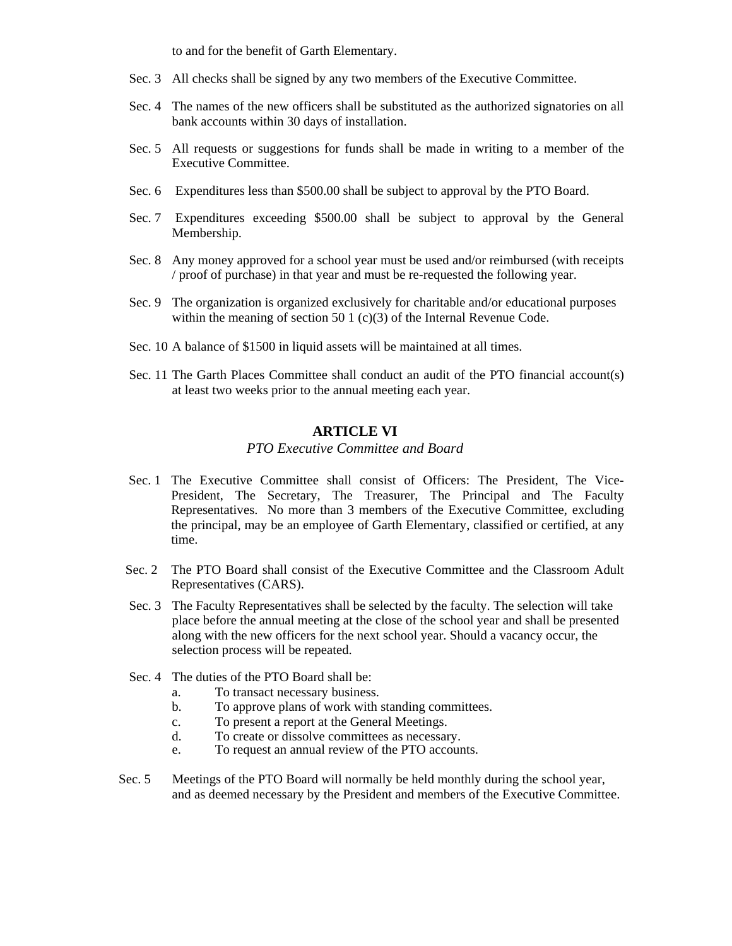to and for the benefit of Garth Elementary.

- Sec. 3 All checks shall be signed by any two members of the Executive Committee.
- Sec. 4 The names of the new officers shall be substituted as the authorized signatories on all bank accounts within 30 days of installation.
- Sec. 5 All requests or suggestions for funds shall be made in writing to a member of the Executive Committee.
- Sec. 6 Expenditures less than \$500.00 shall be subject to approval by the PTO Board.
- Sec. 7 Expenditures exceeding \$500.00 shall be subject to approval by the General Membership.
- Sec. 8 Any money approved for a school year must be used and/or reimbursed (with receipts / proof of purchase) in that year and must be re-requested the following year.
- Sec. 9 The organization is organized exclusively for charitable and/or educational purposes within the meaning of section 50 1 (c)(3) of the Internal Revenue Code.
- Sec. 10 A balance of \$1500 in liquid assets will be maintained at all times.
- Sec. 11 The Garth Places Committee shall conduct an audit of the PTO financial account(s) at least two weeks prior to the annual meeting each year.

#### **ARTICLE VI**

### *PTO Executive Committee and Board*

- Sec. 1 The Executive Committee shall consist of Officers: The President, The Vice-President, The Secretary, The Treasurer, The Principal and The Faculty Representatives. No more than 3 members of the Executive Committee, excluding the principal, may be an employee of Garth Elementary, classified or certified, at any time.
- Sec. 2 The PTO Board shall consist of the Executive Committee and the Classroom Adult Representatives (CARS).
- Sec. 3 The Faculty Representatives shall be selected by the faculty. The selection will take place before the annual meeting at the close of the school year and shall be presented along with the new officers for the next school year. Should a vacancy occur, the selection process will be repeated.
- Sec. 4 The duties of the PTO Board shall be:
	- a. To transact necessary business.
	- b. To approve plans of work with standing committees.
	- c. To present a report at the General Meetings.
	- d. To create or dissolve committees as necessary.
	- e. To request an annual review of the PTO accounts.
- Sec. 5 Meetings of the PTO Board will normally be held monthly during the school year, and as deemed necessary by the President and members of the Executive Committee.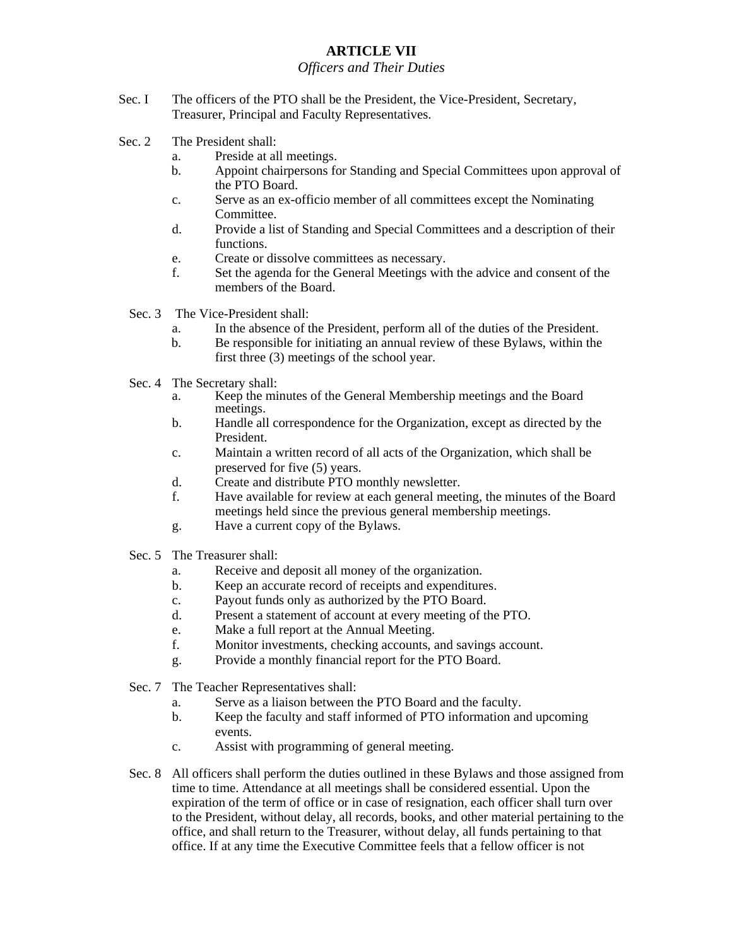# **ARTICLE VII**

### *Officers and Their Duties*

- Sec. I The officers of the PTO shall be the President, the Vice-President, Secretary, Treasurer, Principal and Faculty Representatives.
- Sec. 2 The President shall:
	- a. Preside at all meetings.
	- b. Appoint chairpersons for Standing and Special Committees upon approval of the PTO Board.
	- c. Serve as an ex-officio member of all committees except the Nominating Committee.
	- d. Provide a list of Standing and Special Committees and a description of their functions.
	- e. Create or dissolve committees as necessary.
	- f. Set the agenda for the General Meetings with the advice and consent of the members of the Board.
	- Sec. 3 The Vice-President shall:
		- a. In the absence of the President, perform all of the duties of the President.
		- b. Be responsible for initiating an annual review of these Bylaws, within the first three (3) meetings of the school year.
	- Sec. 4 The Secretary shall:
		- a. Keep the minutes of the General Membership meetings and the Board meetings.
		- b. Handle all correspondence for the Organization, except as directed by the President.
		- c. Maintain a written record of all acts of the Organization, which shall be preserved for five (5) years.
		- d. Create and distribute PTO monthly newsletter.
		- f. Have available for review at each general meeting, the minutes of the Board meetings held since the previous general membership meetings.
		- g. Have a current copy of the Bylaws.
	- Sec. 5 The Treasurer shall:
		- a. Receive and deposit all money of the organization.
		- b. Keep an accurate record of receipts and expenditures.
		- c. Payout funds only as authorized by the PTO Board.
		- d. Present a statement of account at every meeting of the PTO.
		- e. Make a full report at the Annual Meeting.
		- f. Monitor investments, checking accounts, and savings account.
		- g. Provide a monthly financial report for the PTO Board.
	- Sec. 7 The Teacher Representatives shall:
		- a. Serve as a liaison between the PTO Board and the faculty.
		- b. Keep the faculty and staff informed of PTO information and upcoming events.
		- c. Assist with programming of general meeting.
	- Sec. 8 All officers shall perform the duties outlined in these Bylaws and those assigned from time to time. Attendance at all meetings shall be considered essential. Upon the expiration of the term of office or in case of resignation, each officer shall turn over to the President, without delay, all records, books, and other material pertaining to the office, and shall return to the Treasurer, without delay, all funds pertaining to that office. If at any time the Executive Committee feels that a fellow officer is not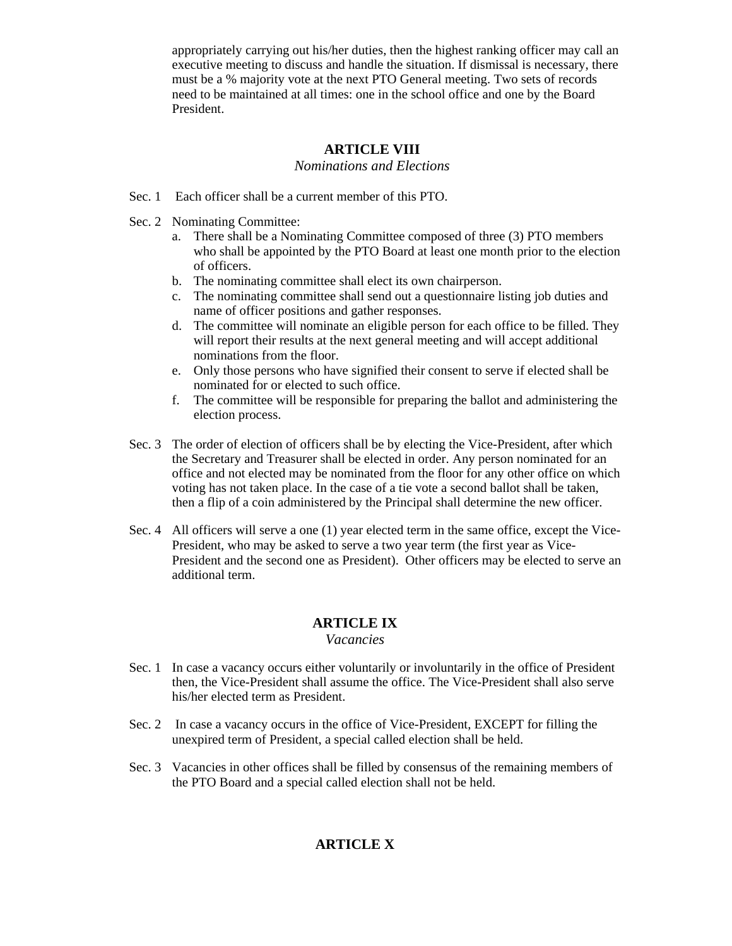appropriately carrying out his/her duties, then the highest ranking officer may call an executive meeting to discuss and handle the situation. If dismissal is necessary, there must be a % majority vote at the next PTO General meeting. Two sets of records need to be maintained at all times: one in the school office and one by the Board President.

### **ARTICLE VIII**

### *Nominations and Elections*

- Sec. 1 Each officer shall be a current member of this PTO.
- Sec. 2 Nominating Committee:
	- a. There shall be a Nominating Committee composed of three (3) PTO members who shall be appointed by the PTO Board at least one month prior to the election of officers.
	- b. The nominating committee shall elect its own chairperson.
	- c. The nominating committee shall send out a questionnaire listing job duties and name of officer positions and gather responses.
	- d. The committee will nominate an eligible person for each office to be filled. They will report their results at the next general meeting and will accept additional nominations from the floor.
	- e. Only those persons who have signified their consent to serve if elected shall be nominated for or elected to such office.
	- f. The committee will be responsible for preparing the ballot and administering the election process.
- Sec. 3 The order of election of officers shall be by electing the Vice-President, after which the Secretary and Treasurer shall be elected in order. Any person nominated for an office and not elected may be nominated from the floor for any other office on which voting has not taken place. In the case of a tie vote a second ballot shall be taken, then a flip of a coin administered by the Principal shall determine the new officer.
- Sec. 4 All officers will serve a one (1) year elected term in the same office, except the Vice-President, who may be asked to serve a two year term (the first year as Vice-President and the second one as President). Other officers may be elected to serve an additional term.

### **ARTICLE IX**

#### *Vacancies*

- Sec. 1 In case a vacancy occurs either voluntarily or involuntarily in the office of President then, the Vice-President shall assume the office. The Vice-President shall also serve his/her elected term as President.
- Sec. 2 In case a vacancy occurs in the office of Vice-President, EXCEPT for filling the unexpired term of President, a special called election shall be held.
- Sec. 3 Vacancies in other offices shall be filled by consensus of the remaining members of the PTO Board and a special called election shall not be held.

# **ARTICLE X**